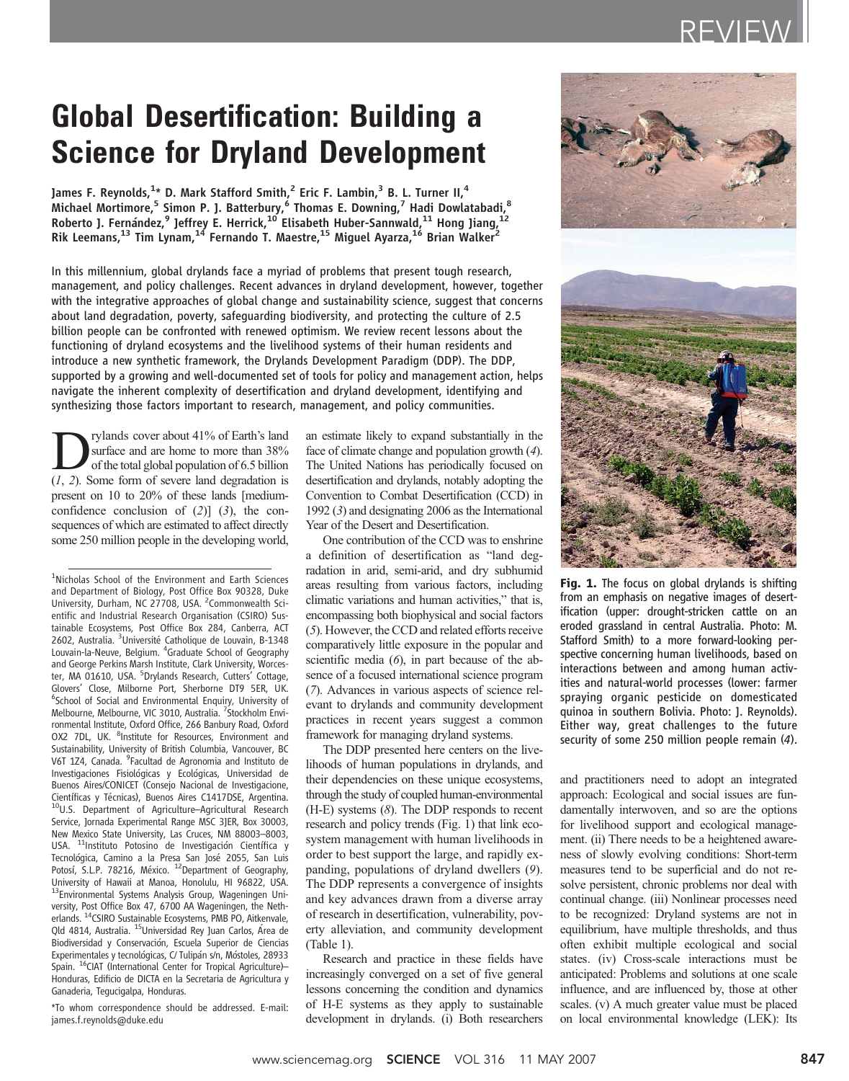# $\Pi$

# Global Desertification: Building a Science for Dryland Development

James F. Reynolds, $^{1\star}$  D. Mark Stafford Smith, $^{2}$  Eric F. Lambin, $^{3}$  B. L. Turner II, $^{4}$ Michael Mortimore, $^5$  Simon P. J. Batterbury, $^6$  Thomas E. Downing, $^7$  Hadi Dowlatabadi, $^8$ Roberto J. Fernández,<sup>9</sup> Jeffrey E. Herrick,<sup>10</sup> Elisabeth Huber-Sannwald,<sup>11</sup> Hong Jiang,<sup>12</sup> Rik Leemans, $^{13}$  Tim Lynam, $^{14}$  Fernando T. Maestre, $^{15}$  Miguel Ayarza, $^{16}$  Brian Walker $^2$ 

In this millennium, global drylands face a myriad of problems that present tough research, management, and policy challenges. Recent advances in dryland development, however, together with the integrative approaches of global change and sustainability science, suggest that concerns about land degradation, poverty, safeguarding biodiversity, and protecting the culture of 2.5 billion people can be confronted with renewed optimism. We review recent lessons about the functioning of dryland ecosystems and the livelihood systems of their human residents and introduce a new synthetic framework, the Drylands Development Paradigm (DDP). The DDP, supported by a growing and well-documented set of tools for policy and management action, helps navigate the inherent complexity of desertification and dryland development, identifying and synthesizing those factors important to research, management, and policy communities.

rylands cover about 41% of Earth's land<br>surface and are home to more than 38%<br>of the total global population of 6.5 billion<br>(1) Some form of severe land decradation is surface and are home to more than 38% of the total global population of 6.5 billion (1, 2). Some form of severe land degradation is present on 10 to 20% of these lands [mediumconfidence conclusion of  $(2)$ ]  $(3)$ , the consequences of which are estimated to affect directly some 250 million people in the developing world,

\*To whom correspondence should be addressed. E-mail: james.f.reynolds@duke.edu

an estimate likely to expand substantially in the face of climate change and population growth (4). The United Nations has periodically focused on desertification and drylands, notably adopting the Convention to Combat Desertification (CCD) in 1992 (3) and designating 2006 as the International Year of the Desert and Desertification.

One contribution of the CCD was to enshrine a definition of desertification as "land degradation in arid, semi-arid, and dry subhumid areas resulting from various factors, including climatic variations and human activities," that is, encompassing both biophysical and social factors (5). However, the CCD and related efforts receive comparatively little exposure in the popular and scientific media  $(6)$ , in part because of the absence of a focused international science program (7). Advances in various aspects of science relevant to drylands and community development practices in recent years suggest a common framework for managing dryland systems.

The DDP presented here centers on the livelihoods of human populations in drylands, and their dependencies on these unique ecosystems, through the study of coupled human-environmental (H-E) systems (8). The DDP responds to recent research and policy trends (Fig. 1) that link ecosystem management with human livelihoods in order to best support the large, and rapidly expanding, populations of dryland dwellers (9). The DDP represents a convergence of insights and key advances drawn from a diverse array of research in desertification, vulnerability, poverty alleviation, and community development (Table 1).

Research and practice in these fields have increasingly converged on a set of five general lessons concerning the condition and dynamics of H-E systems as they apply to sustainable development in drylands. (i) Both researchers



Fig. 1. The focus on global drylands is shifting from an emphasis on negative images of desertification (upper: drought-stricken cattle on an eroded grassland in central Australia. Photo: M. Stafford Smith) to a more forward-looking perspective concerning human livelihoods, based on interactions between and among human activities and natural-world processes (lower: farmer spraying organic pesticide on domesticated quinoa in southern Bolivia. Photo: J. Reynolds). Either way, great challenges to the future security of some 250 million people remain (4).

and practitioners need to adopt an integrated approach: Ecological and social issues are fundamentally interwoven, and so are the options for livelihood support and ecological management. (ii) There needs to be a heightened awareness of slowly evolving conditions: Short-term measures tend to be superficial and do not resolve persistent, chronic problems nor deal with continual change. (iii) Nonlinear processes need to be recognized: Dryland systems are not in equilibrium, have multiple thresholds, and thus often exhibit multiple ecological and social states. (iv) Cross-scale interactions must be anticipated: Problems and solutions at one scale influence, and are influenced by, those at other scales. (v) A much greater value must be placed on local environmental knowledge (LEK): Its

<sup>&</sup>lt;sup>1</sup>Nicholas School of the Environment and Earth Sciences and Department of Biology, Post Office Box 90328, Duke University, Durham, NC 27708, USA. <sup>2</sup> Commonwealth Scientific and Industrial Research Organisation (CSIRO) Sustainable Ecosystems, Post Office Box 284, Canberra, ACT 2602, Australia. <sup>3</sup>Université Catholique de Louvain, B-1348 Louvain-la-Neuve, Belgium. <sup>4</sup>Graduate School of Geography and George Perkins Marsh Institute, Clark University, Worcester, MA 01610, USA. <sup>5</sup>Drylands Research, Cutters' Cottage, Glovers' Close, Milborne Port, Sherborne DT9 5ER, UK. <sup>6</sup>School of Social and Environmental Enquiry, University of Melbourne, Melbourne, VIC 3010, Australia. <sup>7</sup>Stockholm Environmental Institute, Oxford Office, 266 Banbury Road, Oxford OX2 7DL, UK. <sup>8</sup>Institute for Resources, Environment and Sustainability, University of British Columbia, Vancouver, BC V6T 1Z4, Canada. <sup>9</sup>Facultad de Agronomia and Instituto de Investigaciones Fisiológicas y Ecológicas, Universidad de Buenos Aires/CONICET (Consejo Nacional de Investigacione, Científicas y Técnicas), Buenos Aires C1417DSE, Argentina. 10U.S. Department of Agriculture–Agricultural Research Service, Jornada Experimental Range MSC 3JER, Box 30003, New Mexico State University, Las Cruces, NM 88003–8003, USA. <sup>11</sup>Instituto Potosino de Investigación Científica y Tecnológica, Camino a la Presa San José 2055, San Luis Potosí, S.L.P. 78216, México. <sup>12</sup>Department of Geography, University of Hawaii at Manoa, Honolulu, HI 96822, USA. 13Environmental Systems Analysis Group, Wageningen University, Post Office Box 47, 6700 AA Wageningen, the Netherlands. 14CSIRO Sustainable Ecosystems, PMB PO, Aitkenvale, Qld 4814, Australia. 15Universidad Rey Juan Carlos, Área de Biodiversidad y Conservación, Escuela Superior de Ciencias Experimentales y tecnológicas, C/ Tulipán s/n, Móstoles, 28933 Spain. <sup>16</sup>CIAT (International Center for Tropical Agriculture)-Honduras, Edificio de DICTA en la Secretaria de Agricultura y Ganaderia, Tegucigalpa, Honduras.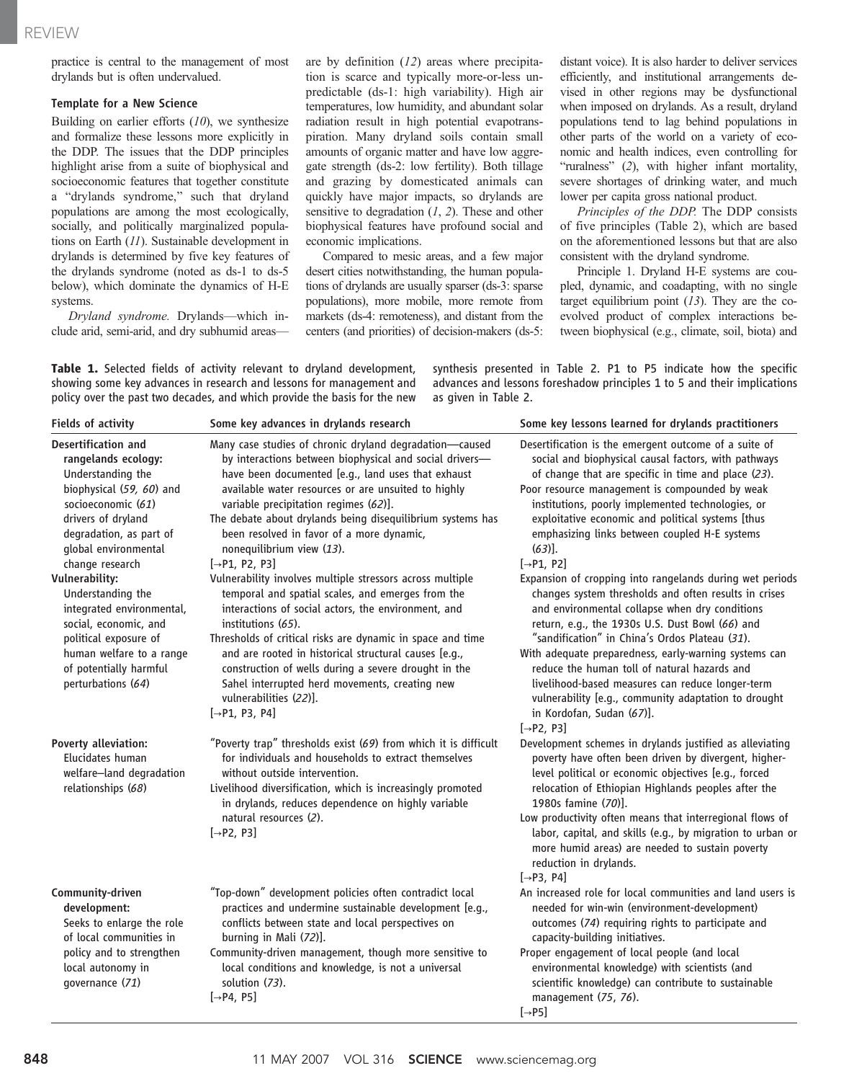practice is central to the management of most drylands but is often undervalued.

## Template for a New Science

Building on earlier efforts  $(10)$ , we synthesize and formalize these lessons more explicitly in the DDP. The issues that the DDP principles highlight arise from a suite of biophysical and socioeconomic features that together constitute a "drylands syndrome," such that dryland populations are among the most ecologically, socially, and politically marginalized populations on Earth (11). Sustainable development in drylands is determined by five key features of the drylands syndrome (noted as ds-1 to ds-5 below), which dominate the dynamics of H-E systems.

Dryland syndrome. Drylands—which include arid, semi-arid, and dry subhumid areasare by definition (12) areas where precipitation is scarce and typically more-or-less unpredictable (ds-1: high variability). High air temperatures, low humidity, and abundant solar radiation result in high potential evapotranspiration. Many dryland soils contain small amounts of organic matter and have low aggregate strength (ds-2: low fertility). Both tillage and grazing by domesticated animals can quickly have major impacts, so drylands are sensitive to degradation  $(1, 2)$ . These and other biophysical features have profound social and economic implications.

Compared to mesic areas, and a few major desert cities notwithstanding, the human populations of drylands are usually sparser (ds-3: sparse populations), more mobile, more remote from markets (ds-4: remoteness), and distant from the centers (and priorities) of decision-makers (ds-5:

distant voice). It is also harder to deliver services efficiently, and institutional arrangements devised in other regions may be dysfunctional when imposed on drylands. As a result, dryland populations tend to lag behind populations in other parts of the world on a variety of economic and health indices, even controlling for "ruralness" (2), with higher infant mortality, severe shortages of drinking water, and much lower per capita gross national product.

Principles of the DDP. The DDP consists of five principles (Table 2), which are based on the aforementioned lessons but that are also consistent with the dryland syndrome.

Principle 1. Dryland H-E systems are coupled, dynamic, and coadapting, with no single target equilibrium point  $(13)$ . They are the coevolved product of complex interactions between biophysical (e.g., climate, soil, biota) and

Table 1. Selected fields of activity relevant to dryland development, showing some key advances in research and lessons for management and policy over the past two decades, and which provide the basis for the new synthesis presented in Table 2. P1 to P5 indicate how the specific advances and lessons foreshadow principles 1 to 5 and their implications as given in Table 2.

| <b>Fields of activity</b>                                                                                                 | Some key advances in drylands research                                                                                                                                                                                                                                       | Some key lessons learned for drylands practitioners                                                                                                                                                                                                                         |
|---------------------------------------------------------------------------------------------------------------------------|------------------------------------------------------------------------------------------------------------------------------------------------------------------------------------------------------------------------------------------------------------------------------|-----------------------------------------------------------------------------------------------------------------------------------------------------------------------------------------------------------------------------------------------------------------------------|
| <b>Desertification and</b><br>rangelands ecology:<br>Understanding the<br>biophysical (59, 60) and<br>socioeconomic (61)  | Many case studies of chronic dryland degradation-caused<br>by interactions between biophysical and social drivers-<br>have been documented [e.g., land uses that exhaust<br>available water resources or are unsuited to highly<br>variable precipitation regimes (62)].     | Desertification is the emergent outcome of a suite of<br>social and biophysical causal factors, with pathways<br>of change that are specific in time and place (23).<br>Poor resource management is compounded by weak<br>institutions, poorly implemented technologies, or |
| drivers of dryland<br>degradation, as part of<br>global environmental                                                     | The debate about drylands being disequilibrium systems has<br>been resolved in favor of a more dynamic,<br>nonequilibrium view (13).                                                                                                                                         | exploitative economic and political systems [thus<br>emphasizing links between coupled H-E systems<br>$(63)$ ].                                                                                                                                                             |
| change research                                                                                                           | [→P1, P2, P3]                                                                                                                                                                                                                                                                | $[\rightarrow P1, P2]$                                                                                                                                                                                                                                                      |
| <b>Vulnerability:</b><br>Understanding the<br>integrated environmental,<br>social, economic, and<br>political exposure of | Vulnerability involves multiple stressors across multiple<br>temporal and spatial scales, and emerges from the<br>interactions of social actors, the environment, and<br>institutions (65).<br>Thresholds of critical risks are dynamic in space and time                    | Expansion of cropping into rangelands during wet periods<br>changes system thresholds and often results in crises<br>and environmental collapse when dry conditions<br>return, e.g., the 1930s U.S. Dust Bowl (66) and<br>"sandification" in China's Ordos Plateau (31).    |
| human welfare to a range<br>of potentially harmful<br>perturbations (64)                                                  | and are rooted in historical structural causes [e.g.,<br>construction of wells during a severe drought in the<br>Sahel interrupted herd movements, creating new<br>vulnerabilities (22)].<br>$[\rightarrow P1, P3, P4]$                                                      | With adequate preparedness, early-warning systems can<br>reduce the human toll of natural hazards and<br>livelihood-based measures can reduce longer-term<br>vulnerability [e.g., community adaptation to drought<br>in Kordofan, Sudan (67)].<br>$[\rightarrow P2, P3]$    |
| <b>Poverty alleviation:</b><br>Elucidates human<br>welfare-land degradation<br>relationships (68)                         | "Poverty trap" thresholds exist (69) from which it is difficult<br>for individuals and households to extract themselves<br>without outside intervention.<br>Livelihood diversification, which is increasingly promoted<br>in drylands, reduces dependence on highly variable | Development schemes in drylands justified as alleviating<br>poverty have often been driven by divergent, higher-<br>level political or economic objectives [e.g., forced<br>relocation of Ethiopian Highlands peoples after the<br>1980s famine (70)].                      |
|                                                                                                                           | natural resources (2).<br>$[\rightarrow P2, P3]$                                                                                                                                                                                                                             | Low productivity often means that interregional flows of<br>labor, capital, and skills (e.g., by migration to urban or<br>more humid areas) are needed to sustain poverty<br>reduction in drylands.<br>$[\rightarrow P3, P4]$                                               |
| Community-driven<br>development:<br>Seeks to enlarge the role<br>of local communities in                                  | "Top-down" development policies often contradict local<br>practices and undermine sustainable development [e.g.,<br>conflicts between state and local perspectives on<br>burning in Mali (72)].                                                                              | An increased role for local communities and land users is<br>needed for win-win (environment-development)<br>outcomes (74) requiring rights to participate and<br>capacity-building initiatives.                                                                            |
| policy and to strengthen<br>local autonomy in<br>governance (71)                                                          | Community-driven management, though more sensitive to<br>local conditions and knowledge, is not a universal<br>solution (73).<br>$[\rightarrow P4, P5]$                                                                                                                      | Proper engagement of local people (and local<br>environmental knowledge) with scientists (and<br>scientific knowledge) can contribute to sustainable<br>management (75, 76).<br>$[\rightarrow P5]$                                                                          |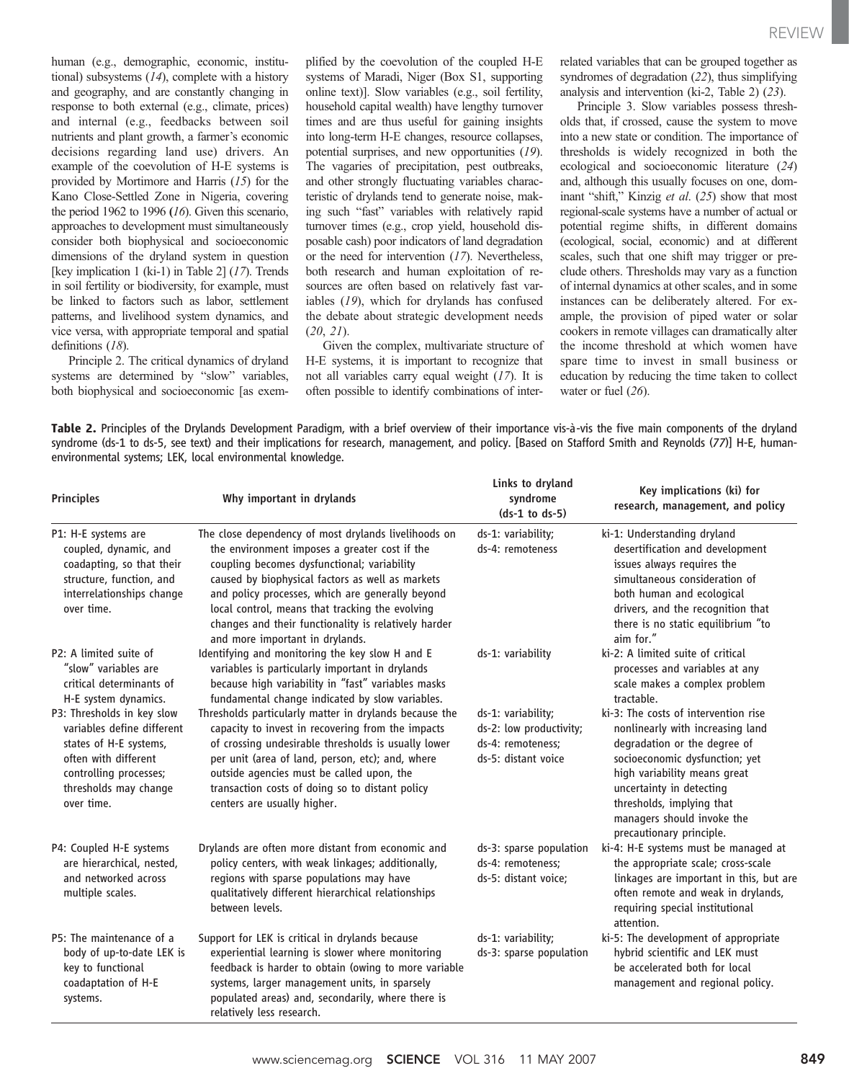human (e.g., demographic, economic, institutional) subsystems (14), complete with a history and geography, and are constantly changing in response to both external (e.g., climate, prices) and internal (e.g., feedbacks between soil nutrients and plant growth, a farmer's economic decisions regarding land use) drivers. An example of the coevolution of H-E systems is provided by Mortimore and Harris (15) for the Kano Close-Settled Zone in Nigeria, covering the period 1962 to 1996 *(*16). Given this scenario, approaches to development must simultaneously consider both biophysical and socioeconomic dimensions of the dryland system in question [key implication 1 (ki-1) in Table 2] (17). Trends in soil fertility or biodiversity, for example, must be linked to factors such as labor, settlement patterns, and livelihood system dynamics, and vice versa, with appropriate temporal and spatial definitions (18).

Principle 2. The critical dynamics of dryland systems are determined by "slow" variables, both biophysical and socioeconomic [as exemplified by the coevolution of the coupled H-E systems of Maradi, Niger (Box S1, supporting online text)]. Slow variables (e.g., soil fertility, household capital wealth) have lengthy turnover times and are thus useful for gaining insights into long-term H-E changes, resource collapses, potential surprises, and new opportunities (19). The vagaries of precipitation, pest outbreaks, and other strongly fluctuating variables characteristic of drylands tend to generate noise, making such "fast" variables with relatively rapid turnover times (e.g., crop yield, household disposable cash) poor indicators of land degradation or the need for intervention (17). Nevertheless, both research and human exploitation of resources are often based on relatively fast variables (19), which for drylands has confused the debate about strategic development needs  $(20, 21)$ .

Given the complex, multivariate structure of H-E systems, it is important to recognize that not all variables carry equal weight (17). It is often possible to identify combinations of interrelated variables that can be grouped together as syndromes of degradation (22), thus simplifying analysis and intervention (ki-2, Table 2) (23).

Principle 3. Slow variables possess thresholds that, if crossed, cause the system to move into a new state or condition. The importance of thresholds is widely recognized in both the ecological and socioeconomic literature (24) and, although this usually focuses on one, dominant "shift," Kinzig et al. (25) show that most regional-scale systems have a number of actual or potential regime shifts, in different domains (ecological, social, economic) and at different scales, such that one shift may trigger or preclude others. Thresholds may vary as a function of internal dynamics at other scales, and in some instances can be deliberately altered. For example, the provision of piped water or solar cookers in remote villages can dramatically alter the income threshold at which women have spare time to invest in small business or education by reducing the time taken to collect water or fuel  $(26)$ .

Table 2. Principles of the Drylands Development Paradigm, with a brief overview of their importance vis-à-vis the five main components of the dryland syndrome (ds-1 to ds-5, see text) and their implications for research, management, and policy. [Based on Stafford Smith and Reynolds (77)] H-E, humanenvironmental systems; LEK, local environmental knowledge.

| <b>Principles</b>                                                                                                                                                           | Why important in drylands                                                                                                                                                                                                                                                                                                                                                                                  | Links to dryland<br>syndrome<br>$(ds-1 to ds-5)$                                          | Key implications (ki) for<br>research, management, and policy                                                                                                                                                                                                                                 |
|-----------------------------------------------------------------------------------------------------------------------------------------------------------------------------|------------------------------------------------------------------------------------------------------------------------------------------------------------------------------------------------------------------------------------------------------------------------------------------------------------------------------------------------------------------------------------------------------------|-------------------------------------------------------------------------------------------|-----------------------------------------------------------------------------------------------------------------------------------------------------------------------------------------------------------------------------------------------------------------------------------------------|
| P1: H-E systems are<br>coupled, dynamic, and<br>coadapting, so that their<br>structure, function, and<br>interrelationships change<br>over time.                            | The close dependency of most drylands livelihoods on<br>the environment imposes a greater cost if the<br>coupling becomes dysfunctional; variability<br>caused by biophysical factors as well as markets<br>and policy processes, which are generally beyond<br>local control, means that tracking the evolving<br>changes and their functionality is relatively harder<br>and more important in drylands. | ds-1: variability;<br>ds-4: remoteness                                                    | ki-1: Understanding dryland<br>desertification and development<br>issues always requires the<br>simultaneous consideration of<br>both human and ecological<br>drivers, and the recognition that<br>there is no static equilibrium "to<br>aim for."                                            |
| P2: A limited suite of<br>"slow" variables are<br>critical determinants of<br>H-E system dynamics.                                                                          | Identifying and monitoring the key slow H and E<br>variables is particularly important in drylands<br>because high variability in "fast" variables masks<br>fundamental change indicated by slow variables.                                                                                                                                                                                                | ds-1: variability                                                                         | ki-2: A limited suite of critical<br>processes and variables at any<br>scale makes a complex problem<br>tractable.                                                                                                                                                                            |
| P3: Thresholds in key slow<br>variables define different<br>states of H-E systems,<br>often with different<br>controlling processes;<br>thresholds may change<br>over time. | Thresholds particularly matter in drylands because the<br>capacity to invest in recovering from the impacts<br>of crossing undesirable thresholds is usually lower<br>per unit (area of land, person, etc); and, where<br>outside agencies must be called upon, the<br>transaction costs of doing so to distant policy<br>centers are usually higher.                                                      | ds-1: variability;<br>ds-2: low productivity;<br>ds-4: remoteness:<br>ds-5: distant voice | ki-3: The costs of intervention rise<br>nonlinearly with increasing land<br>degradation or the degree of<br>socioeconomic dysfunction; yet<br>high variability means great<br>uncertainty in detecting<br>thresholds, implying that<br>managers should invoke the<br>precautionary principle. |
| P4: Coupled H-E systems<br>are hierarchical, nested,<br>and networked across<br>multiple scales.                                                                            | Drylands are often more distant from economic and<br>policy centers, with weak linkages; additionally,<br>regions with sparse populations may have<br>qualitatively different hierarchical relationships<br>between levels.                                                                                                                                                                                | ds-3: sparse population<br>ds-4: remoteness:<br>ds-5: distant voice;                      | ki-4: H-E systems must be managed at<br>the appropriate scale; cross-scale<br>linkages are important in this, but are<br>often remote and weak in drylands,<br>requiring special institutional<br>attention.                                                                                  |
| P5: The maintenance of a<br>body of up-to-date LEK is<br>key to functional<br>coadaptation of H-E<br>systems.                                                               | Support for LEK is critical in drylands because<br>experiential learning is slower where monitoring<br>feedback is harder to obtain (owing to more variable<br>systems, larger management units, in sparsely<br>populated areas) and, secondarily, where there is<br>relatively less research.                                                                                                             | ds-1: variability;<br>ds-3: sparse population                                             | ki-5: The development of appropriate<br>hybrid scientific and LEK must<br>be accelerated both for local<br>management and regional policy.                                                                                                                                                    |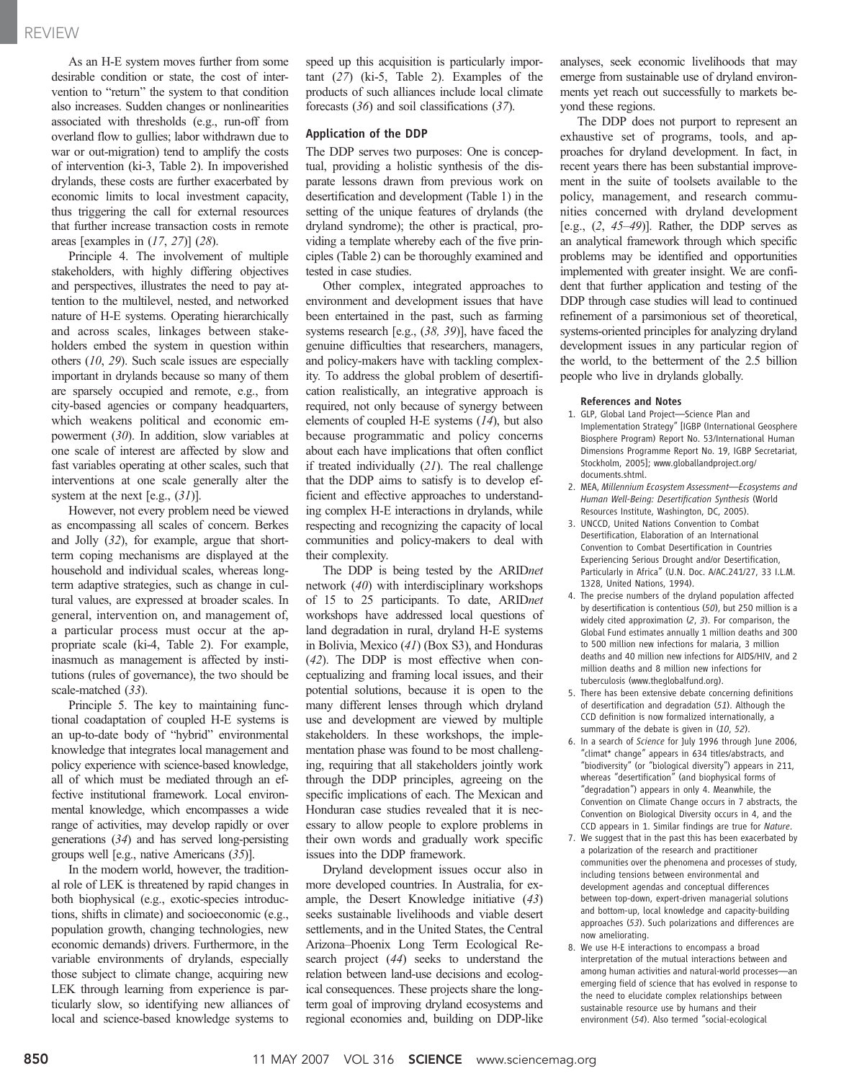## REVIEW

As an H-E system moves further from some desirable condition or state, the cost of intervention to "return" the system to that condition also increases. Sudden changes or nonlinearities associated with thresholds (e.g., run-off from overland flow to gullies; labor withdrawn due to war or out-migration) tend to amplify the costs of intervention (ki-3, Table 2). In impoverished drylands, these costs are further exacerbated by economic limits to local investment capacity, thus triggering the call for external resources that further increase transaction costs in remote areas [examples in (17, 27)] (28).

Principle 4. The involvement of multiple stakeholders, with highly differing objectives and perspectives, illustrates the need to pay attention to the multilevel, nested, and networked nature of H-E systems. Operating hierarchically and across scales, linkages between stakeholders embed the system in question within others (10, 29). Such scale issues are especially important in drylands because so many of them are sparsely occupied and remote, e.g., from city-based agencies or company headquarters, which weakens political and economic empowerment (30). In addition, slow variables at one scale of interest are affected by slow and fast variables operating at other scales, such that interventions at one scale generally alter the system at the next [e.g.,  $(31)$ ].

However, not every problem need be viewed as encompassing all scales of concern. Berkes and Jolly (32), for example, argue that shortterm coping mechanisms are displayed at the household and individual scales, whereas longterm adaptive strategies, such as change in cultural values, are expressed at broader scales. In general, intervention on, and management of, a particular process must occur at the appropriate scale (ki-4, Table 2). For example, inasmuch as management is affected by institutions (rules of governance), the two should be scale-matched (33).

Principle 5. The key to maintaining functional coadaptation of coupled H-E systems is an up-to-date body of "hybrid" environmental knowledge that integrates local management and policy experience with science-based knowledge, all of which must be mediated through an effective institutional framework. Local environmental knowledge, which encompasses a wide range of activities, may develop rapidly or over generations (34) and has served long-persisting groups well [e.g., native Americans (35)].

In the modern world, however, the traditional role of LEK is threatened by rapid changes in both biophysical (e.g., exotic-species introductions, shifts in climate) and socioeconomic (e.g., population growth, changing technologies, new economic demands) drivers. Furthermore, in the variable environments of drylands, especially those subject to climate change, acquiring new LEK through learning from experience is particularly slow, so identifying new alliances of local and science-based knowledge systems to

speed up this acquisition is particularly important (27) (ki-5, Table 2). Examples of the products of such alliances include local climate forecasts (36) and soil classifications (37).

### Application of the DDP

The DDP serves two purposes: One is conceptual, providing a holistic synthesis of the disparate lessons drawn from previous work on desertification and development (Table 1) in the setting of the unique features of drylands (the dryland syndrome); the other is practical, providing a template whereby each of the five principles (Table 2) can be thoroughly examined and tested in case studies.

Other complex, integrated approaches to environment and development issues that have been entertained in the past, such as farming systems research [e.g., (38, 39)], have faced the genuine difficulties that researchers, managers, and policy-makers have with tackling complexity. To address the global problem of desertification realistically, an integrative approach is required, not only because of synergy between elements of coupled H-E systems (14), but also because programmatic and policy concerns about each have implications that often conflict if treated individually (21). The real challenge that the DDP aims to satisfy is to develop efficient and effective approaches to understanding complex H-E interactions in drylands, while respecting and recognizing the capacity of local communities and policy-makers to deal with their complexity.

The DDP is being tested by the ARIDnet network (40) with interdisciplinary workshops of 15 to 25 participants. To date, ARIDnet workshops have addressed local questions of land degradation in rural, dryland H-E systems in Bolivia, Mexico (41) (Box S3), and Honduras (42). The DDP is most effective when conceptualizing and framing local issues, and their potential solutions, because it is open to the many different lenses through which dryland use and development are viewed by multiple stakeholders. In these workshops, the implementation phase was found to be most challenging, requiring that all stakeholders jointly work through the DDP principles, agreeing on the specific implications of each. The Mexican and Honduran case studies revealed that it is necessary to allow people to explore problems in their own words and gradually work specific issues into the DDP framework.

Dryland development issues occur also in more developed countries. In Australia, for example, the Desert Knowledge initiative (43) seeks sustainable livelihoods and viable desert settlements, and in the United States, the Central Arizona–Phoenix Long Term Ecological Research project (44) seeks to understand the relation between land-use decisions and ecological consequences. These projects share the longterm goal of improving dryland ecosystems and regional economies and, building on DDP-like analyses, seek economic livelihoods that may emerge from sustainable use of dryland environments yet reach out successfully to markets beyond these regions.

The DDP does not purport to represent an exhaustive set of programs, tools, and approaches for dryland development. In fact, in recent years there has been substantial improvement in the suite of toolsets available to the policy, management, and research communities concerned with dryland development [e.g.,  $(2, 45-49)$ ]. Rather, the DDP serves as an analytical framework through which specific problems may be identified and opportunities implemented with greater insight. We are confident that further application and testing of the DDP through case studies will lead to continued refinement of a parsimonious set of theoretical, systems-oriented principles for analyzing dryland development issues in any particular region of the world, to the betterment of the 2.5 billion people who live in drylands globally.

#### References and Notes

- 1. GLP, Global Land Project—Science Plan and Implementation Strategy" [IGBP (International Geosphere Biosphere Program) Report No. 53/International Human Dimensions Programme Report No. 19, IGBP Secretariat, Stockholm, 2005]; www.globallandproject.org/ documents.shtml.
- 2. MEA, Millennium Ecosystem Assessment*—*Ecosystems and Human Well-Being: Desertification Synthesis (World Resources Institute, Washington, DC, 2005).
- 3. UNCCD, United Nations Convention to Combat Desertification, Elaboration of an International Convention to Combat Desertification in Countries Experiencing Serious Drought and/or Desertification, Particularly in Africa" (U.N. Doc. A/AC.241/27, 33 I.L.M. 1328, United Nations, 1994).
- 4. The precise numbers of the dryland population affected by desertification is contentious (50), but 250 million is a widely cited approximation (2, 3). For comparison, the Global Fund estimates annually 1 million deaths and 300 to 500 million new infections for malaria, 3 million deaths and 40 million new infections for AIDS/HIV, and 2 million deaths and 8 million new infections for tuberculosis (www.theglobalfund.org).
- 5. There has been extensive debate concerning definitions of desertification and degradation (51). Although the CCD definition is now formalized internationally, a summary of the debate is given in (10, 52).
- 6. In a search of Science for July 1996 through June 2006, "climat\* change" appears in 634 titles/abstracts, and "biodiversity" (or "biological diversity") appears in 211, whereas "desertification" (and biophysical forms of "degradation") appears in only 4. Meanwhile, the Convention on Climate Change occurs in 7 abstracts, the Convention on Biological Diversity occurs in 4, and the CCD appears in 1. Similar findings are true for Nature.
- 7. We suggest that in the past this has been exacerbated by a polarization of the research and practitioner communities over the phenomena and processes of study, including tensions between environmental and development agendas and conceptual differences between top-down, expert-driven managerial solutions and bottom-up, local knowledge and capacity-building approaches (53). Such polarizations and differences are now ameliorating.
- 8. We use H-E interactions to encompass a broad interpretation of the mutual interactions between and among human activities and natural-world processes—an emerging field of science that has evolved in response to the need to elucidate complex relationships between sustainable resource use by humans and their environment (54). Also termed "social-ecological